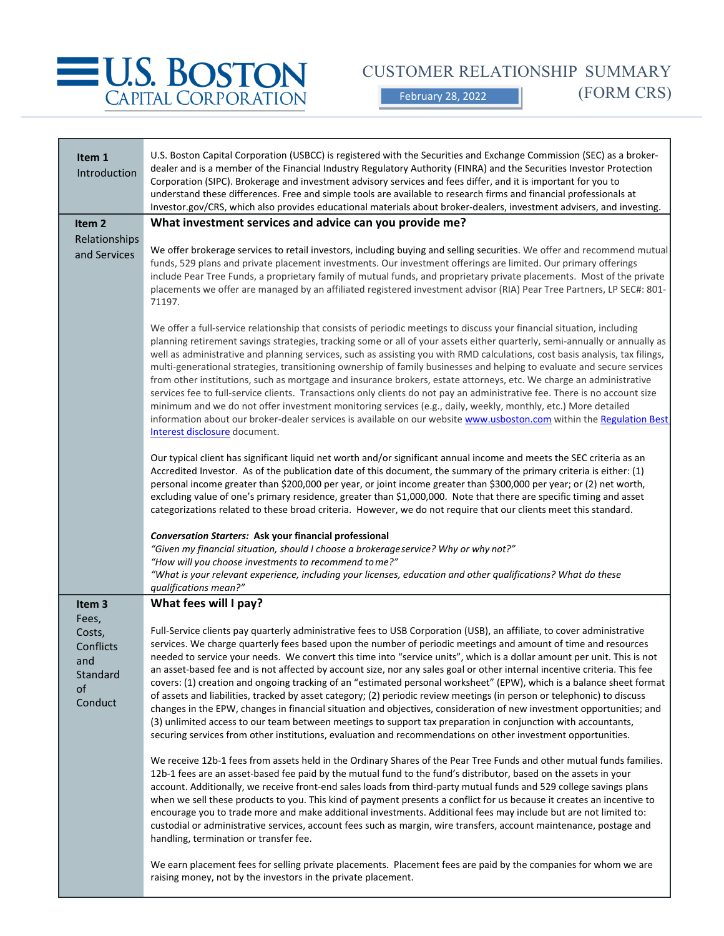

CUSTOMER RELATIONSHIP SUMMARY

(FORM CRS)

February 28, 2022

| Item 1                                                           | U.S. Boston Capital Corporation (USBCC) is registered with the Securities and Exchange Commission (SEC) as a broker-                                                                                                                                                                                                                                                                                                                                                                                                                                                                                                                                                                                                                                                                                                                                                                                                                                                                                                                                                                                           |
|------------------------------------------------------------------|----------------------------------------------------------------------------------------------------------------------------------------------------------------------------------------------------------------------------------------------------------------------------------------------------------------------------------------------------------------------------------------------------------------------------------------------------------------------------------------------------------------------------------------------------------------------------------------------------------------------------------------------------------------------------------------------------------------------------------------------------------------------------------------------------------------------------------------------------------------------------------------------------------------------------------------------------------------------------------------------------------------------------------------------------------------------------------------------------------------|
| Introduction                                                     | dealer and is a member of the Financial Industry Regulatory Authority (FINRA) and the Securities Investor Protection<br>Corporation (SIPC). Brokerage and investment advisory services and fees differ, and it is important for you to<br>understand these differences. Free and simple tools are available to research firms and financial professionals at                                                                                                                                                                                                                                                                                                                                                                                                                                                                                                                                                                                                                                                                                                                                                   |
|                                                                  | Investor.gov/CRS, which also provides educational materials about broker-dealers, investment advisers, and investing.                                                                                                                                                                                                                                                                                                                                                                                                                                                                                                                                                                                                                                                                                                                                                                                                                                                                                                                                                                                          |
| Item <sub>2</sub>                                                | What investment services and advice can you provide me?                                                                                                                                                                                                                                                                                                                                                                                                                                                                                                                                                                                                                                                                                                                                                                                                                                                                                                                                                                                                                                                        |
| Relationships<br>and Services                                    | We offer brokerage services to retail investors, including buying and selling securities. We offer and recommend mutual<br>funds, 529 plans and private placement investments. Our investment offerings are limited. Our primary offerings<br>include Pear Tree Funds, a proprietary family of mutual funds, and proprietary private placements. Most of the private<br>placements we offer are managed by an affiliated registered investment advisor (RIA) Pear Tree Partners, LP SEC#: 801-<br>71197.                                                                                                                                                                                                                                                                                                                                                                                                                                                                                                                                                                                                       |
|                                                                  | We offer a full-service relationship that consists of periodic meetings to discuss your financial situation, including<br>planning retirement savings strategies, tracking some or all of your assets either quarterly, semi-annually or annually as<br>well as administrative and planning services, such as assisting you with RMD calculations, cost basis analysis, tax filings,<br>multi-generational strategies, transitioning ownership of family businesses and helping to evaluate and secure services<br>from other institutions, such as mortgage and insurance brokers, estate attorneys, etc. We charge an administrative<br>services fee to full-service clients. Transactions only clients do not pay an administrative fee. There is no account size<br>minimum and we do not offer investment monitoring services (e.g., daily, weekly, monthly, etc.) More detailed<br>information about our broker-dealer services is available on our website www.usboston.com within the Regulation Best<br>Interest disclosure document.                                                                 |
|                                                                  | Our typical client has significant liquid net worth and/or significant annual income and meets the SEC criteria as an<br>Accredited Investor. As of the publication date of this document, the summary of the primary criteria is either: (1)<br>personal income greater than \$200,000 per year, or joint income greater than \$300,000 per year; or (2) net worth,<br>excluding value of one's primary residence, greater than \$1,000,000. Note that there are specific timing and asset<br>categorizations related to these broad criteria. However, we do not require that our clients meet this standard.                                                                                                                                                                                                                                                                                                                                                                                                                                                                                                |
|                                                                  | <b>Conversation Starters: Ask your financial professional</b><br>"Given my financial situation, should I choose a brokerageservice? Why or why not?"                                                                                                                                                                                                                                                                                                                                                                                                                                                                                                                                                                                                                                                                                                                                                                                                                                                                                                                                                           |
|                                                                  | "How will you choose investments to recommend to me?"<br>"What is your relevant experience, including your licenses, education and other qualifications? What do these<br>qualifications mean?"                                                                                                                                                                                                                                                                                                                                                                                                                                                                                                                                                                                                                                                                                                                                                                                                                                                                                                                |
| Item 3                                                           | What fees will I pay?                                                                                                                                                                                                                                                                                                                                                                                                                                                                                                                                                                                                                                                                                                                                                                                                                                                                                                                                                                                                                                                                                          |
| Fees,<br>Costs,<br>Conflicts<br>and<br>Standard<br>of<br>Conduct | Full-Service clients pay quarterly administrative fees to USB Corporation (USB), an affiliate, to cover administrative<br>services. We charge quarterly fees based upon the number of periodic meetings and amount of time and resources<br>needed to service your needs. We convert this time into "service units", which is a dollar amount per unit. This is not<br>an asset-based fee and is not affected by account size, nor any sales goal or other internal incentive criteria. This fee<br>covers: (1) creation and ongoing tracking of an "estimated personal worksheet" (EPW), which is a balance sheet format<br>of assets and liabilities, tracked by asset category; (2) periodic review meetings (in person or telephonic) to discuss<br>changes in the EPW, changes in financial situation and objectives, consideration of new investment opportunities; and<br>(3) unlimited access to our team between meetings to support tax preparation in conjunction with accountants,<br>securing services from other institutions, evaluation and recommendations on other investment opportunities. |
|                                                                  | We receive 12b-1 fees from assets held in the Ordinary Shares of the Pear Tree Funds and other mutual funds families.<br>12b-1 fees are an asset-based fee paid by the mutual fund to the fund's distributor, based on the assets in your<br>account. Additionally, we receive front-end sales loads from third-party mutual funds and 529 college savings plans<br>when we sell these products to you. This kind of payment presents a conflict for us because it creates an incentive to<br>encourage you to trade more and make additional investments. Additional fees may include but are not limited to:<br>custodial or administrative services, account fees such as margin, wire transfers, account maintenance, postage and<br>handling, termination or transfer fee.                                                                                                                                                                                                                                                                                                                                |
|                                                                  | We earn placement fees for selling private placements. Placement fees are paid by the companies for whom we are<br>raising money, not by the investors in the private placement.                                                                                                                                                                                                                                                                                                                                                                                                                                                                                                                                                                                                                                                                                                                                                                                                                                                                                                                               |